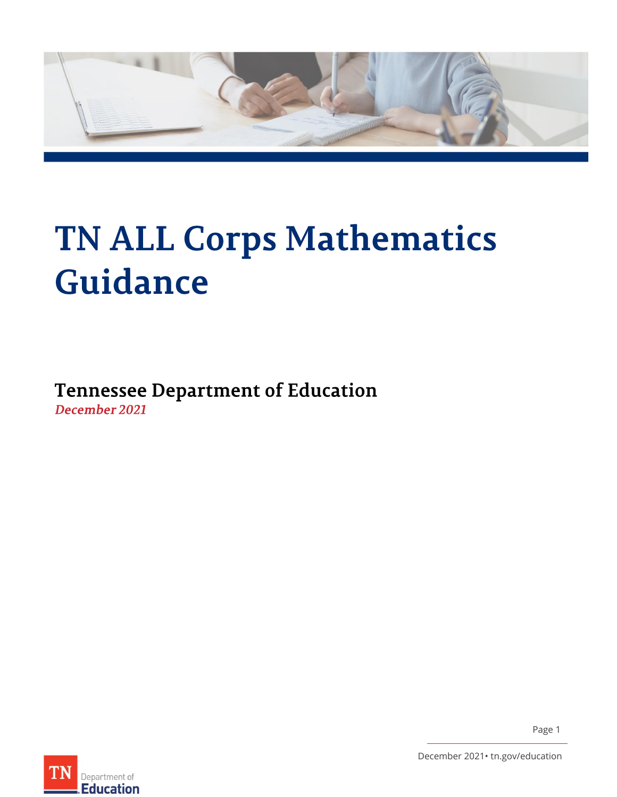

# <span id="page-0-0"></span>**TN ALL Corps Mathematics** Guidance

<span id="page-0-2"></span><span id="page-0-1"></span>**Tennessee Department of Education** December 2021



Page 1

December 2021• tn.gov/education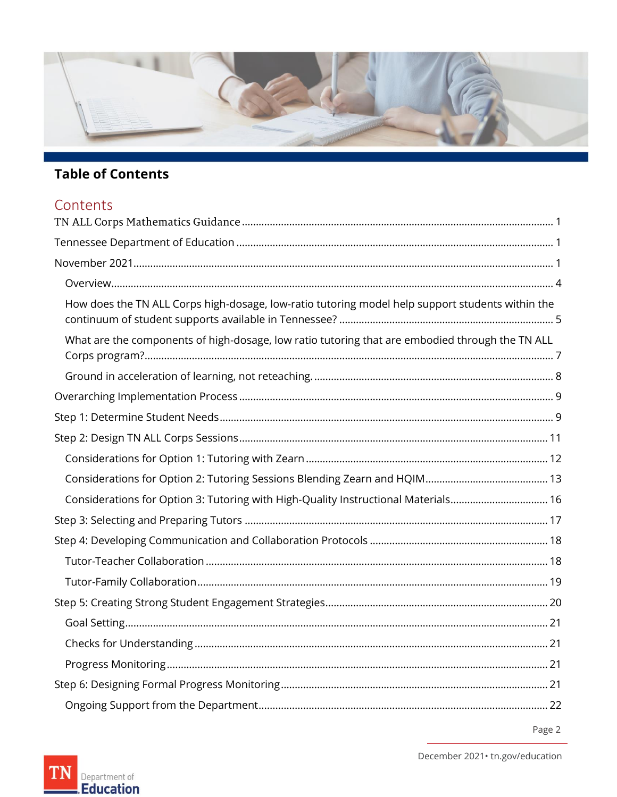

## **Table of Contents**

## Contents

| How does the TN ALL Corps high-dosage, low-ratio tutoring model help support students within the |  |  |  |
|--------------------------------------------------------------------------------------------------|--|--|--|
| What are the components of high-dosage, low ratio tutoring that are embodied through the TN ALL  |  |  |  |
|                                                                                                  |  |  |  |
|                                                                                                  |  |  |  |
|                                                                                                  |  |  |  |
|                                                                                                  |  |  |  |
|                                                                                                  |  |  |  |
|                                                                                                  |  |  |  |
| Considerations for Option 3: Tutoring with High-Quality Instructional Materials 16               |  |  |  |
|                                                                                                  |  |  |  |
|                                                                                                  |  |  |  |
|                                                                                                  |  |  |  |
|                                                                                                  |  |  |  |
|                                                                                                  |  |  |  |
|                                                                                                  |  |  |  |
|                                                                                                  |  |  |  |
|                                                                                                  |  |  |  |
|                                                                                                  |  |  |  |
|                                                                                                  |  |  |  |





December 2021 · tn.gov/education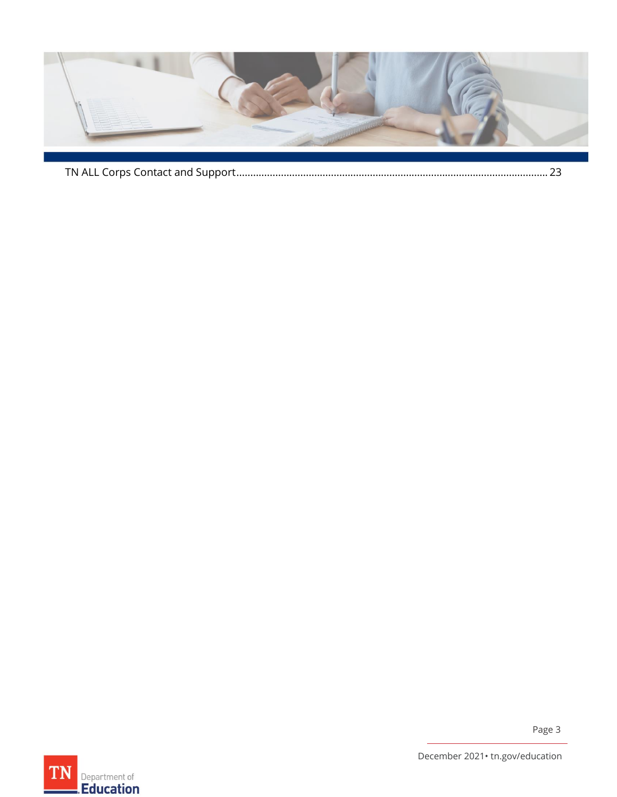

|--|

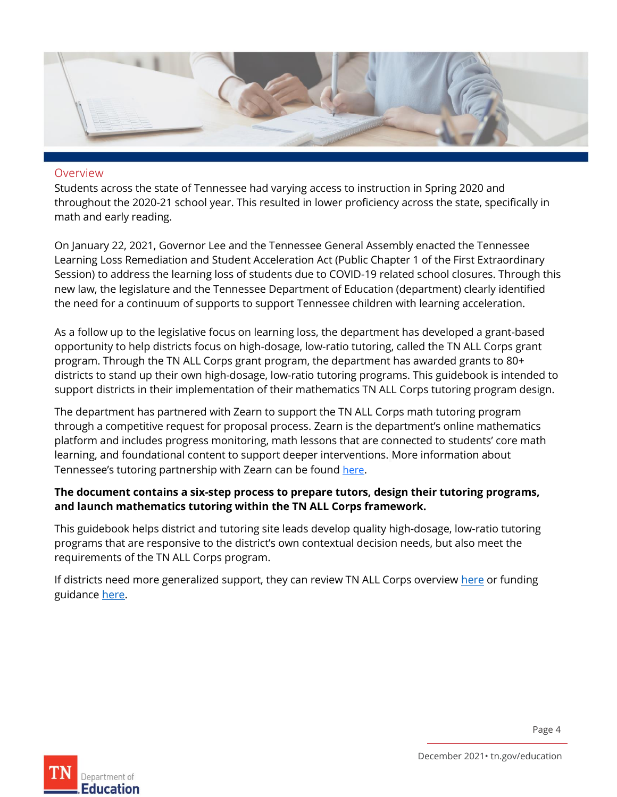

#### <span id="page-3-0"></span>Overview

Students across the state of Tennessee had varying access to instruction in Spring 2020 and throughout the 2020-21 school year. This resulted in lower proficiency across the state, specifically in math and early reading.

On January 22, 2021, Governor Lee and the Tennessee General Assembly enacted the Tennessee Learning Loss Remediation and Student Acceleration Act (Public Chapter 1 of the First Extraordinary Session) to address the learning loss of students due to COVID-19 related school closures. Through this new law, the legislature and the Tennessee Department of Education (department) clearly identified the need for a continuum of supports to support Tennessee children with learning acceleration.

As a follow up to the legislative focus on learning loss, the department has developed a grant-based opportunity to help districts focus on high-dosage, low-ratio tutoring, called the TN ALL Corps grant program. Through the TN ALL Corps grant program, the department has awarded grants to 80+ districts to stand up their own high-dosage, low-ratio tutoring programs. This guidebook is intended to support districts in their implementation of their mathematics TN ALL Corps tutoring program design.

The department has partnered with Zearn to support the TN ALL Corps math tutoring program through a competitive request for proposal process. Zearn is the department's online mathematics platform and includes progress monitoring, math lessons that are connected to students' core math learning, and foundational content to support deeper interventions. More information about Tennessee's tutoring partnership with Zearn can be found [here](https://about.zearn.org/partners/tennessee-tutoring#Resources).

#### **The document contains a six-step process to prepare tutors, design their tutoring programs, and launch mathematics tutoring within the TN ALL Corps framework.**

This guidebook helps district and tutoring site leads develop quality high-dosage, low-ratio tutoring programs that are responsive to the district's own contextual decision needs, but also meet the requirements of the TN ALL Corps program.

If districts need more generalized support, they can review TN ALL Corps overvie[w here](https://www.tn.gov/content/dam/tn/education/esser-planning-resources/TDOE-TNALLCorps-Guidance_FINAL.pdf) or funding guidance [here.](https://mcusercontent.com/b28b453ee164f9a2e2b5057e1/files/98b3c131-3401-4d2c-e737-d9609969c2ec/TechnicalApplicationGuideTNALLCorps2021.09.27.01.pdf?mc_cid=3acb59a55a&mc_eid=847cdb9a02)

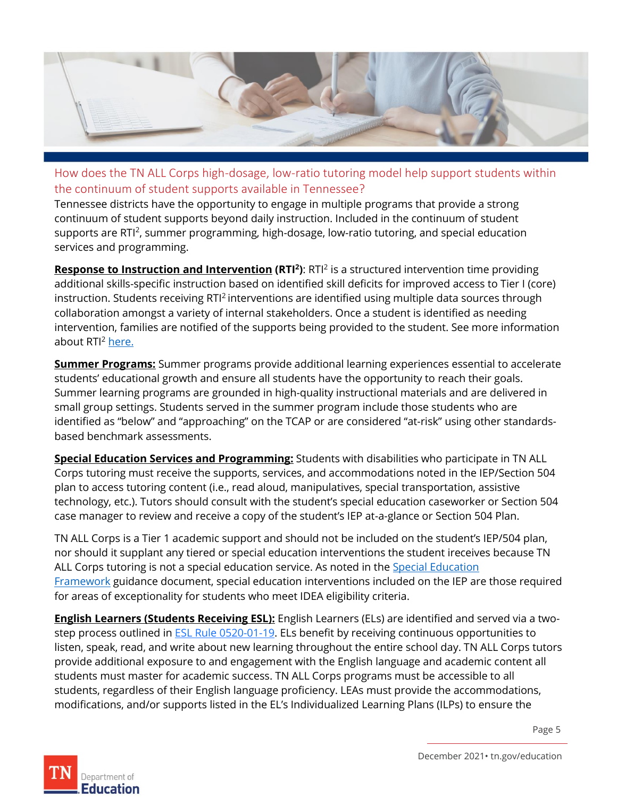

<span id="page-4-0"></span>How does the TN ALL Corps high-dosage, low-ratio tutoring model help support students within the continuum of student supports available in Tennessee?

Tennessee districts have the opportunity to engage in multiple programs that provide a strong continuum of student supports beyond daily instruction. Included in the continuum of student supports are RTI<sup>2</sup>, summer programming, high-dosage, low-ratio tutoring, and special education services and programming.

**Response to Instruction and Intervention (RTI<sup>2</sup>): RTI<sup>2</sup> is a structured intervention time providing** additional skills-specific instruction based on identified skill deficits for improved access to Tier I (core) instruction. Students receiving RTI<sup>2</sup> interventions are identified using multiple data sources through collaboration amongst a variety of internal stakeholders. Once a student is identified as needing intervention, families are notified of the supports being provided to the student. See more information about RTI<sup>2</sup> [here.](https://www.tn.gov/education/instruction/tdoe-rti2/rti2-rediect/rti-current-update.html)

**Summer Programs:** Summer programs provide additional learning experiences essential to accelerate students' educational growth and ensure all students have the opportunity to reach their goals. Summer learning programs are grounded in high-quality instructional materials and are delivered in small group settings. Students served in the summer program include those students who are identified as "below" and "approaching" on the TCAP or are considered "at-risk" using other standardsbased benchmark assessments.

**Special Education Services and Programming:** Students with disabilities who participate in TN ALL Corps tutoring must receive the supports, services, and accommodations noted in the IEP/Section 504 plan to access tutoring content (i.e., read aloud, manipulatives, special transportation, assistive technology, etc.). Tutors should consult with the student's special education caseworker or Section 504 case manager to review and receive a copy of the student's IEP at-a-glance or Section 504 Plan.

TN ALL Corps is a Tier 1 academic support and should not be included on the student's IEP/504 plan, nor should it supplant any tiered or special education interventions the student ireceives because TN ALL Corps tutoring is not a special education service. As noted in the [Special Education](https://www.tn.gov/content/dam/tn/education/special-education/sped_tiered_intervention_guidance_flowchart.pdf)  [Framework](https://www.tn.gov/content/dam/tn/education/special-education/sped_tiered_intervention_guidance_flowchart.pdf) guidance document, special education interventions included on the IEP are those required for areas of exceptionality for students who meet IDEA eligibility criteria.

**English Learners (Students Receiving ESL):** English Learners (ELs) are identified and served via a twostep process outlined in **ESL Rule 0520-01-19**. ELs benefit by receiving continuous opportunities to listen, speak, read, and write about new learning throughout the entire school day. TN ALL Corps tutors provide additional exposure to and engagement with the English language and academic content all students must master for academic success. TN ALL Corps programs must be accessible to all students, regardless of their English language proficiency. LEAs must provide the accommodations, modifications, and/or supports listed in the EL's Individualized Learning Plans (ILPs) to ensure the

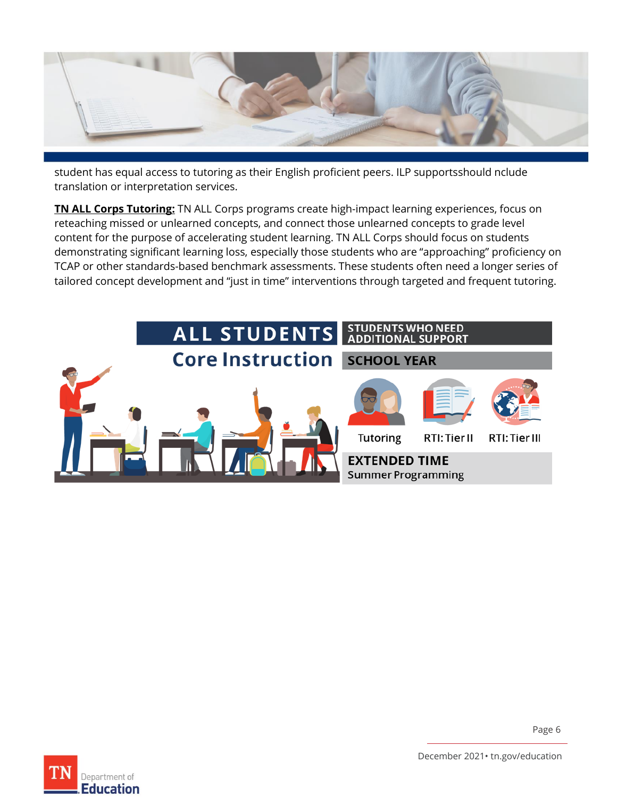

student has equal access to tutoring as their English proficient peers. ILP supportsshould nclude translation or interpretation services.

**TN ALL Corps Tutoring:** TN ALL Corps programs create high-impact learning experiences, focus on reteaching missed or unlearned concepts, and connect those unlearned concepts to grade level content for the purpose of accelerating student learning. TN ALL Corps should focus on students demonstrating significant learning loss, especially those students who are "approaching" proficiency on TCAP or other standards-based benchmark assessments. These students often need a longer series of tailored concept development and "just in time" interventions through targeted and frequent tutoring.



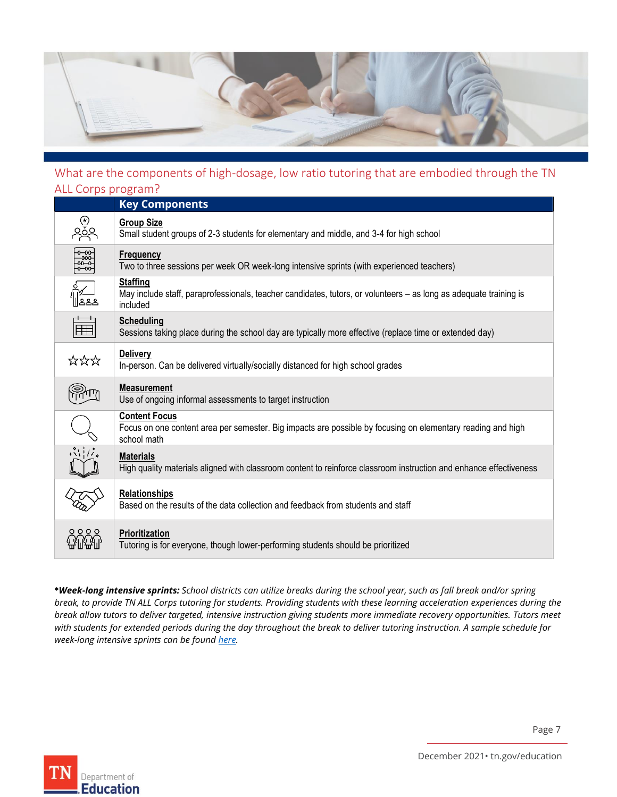

#### <span id="page-6-0"></span>What are the components of high-dosage, low ratio tutoring that are embodied through the TN ALL Corps program?

|                         | ALL COIDS DIORIGHT!                                                                                                                                |  |  |  |  |
|-------------------------|----------------------------------------------------------------------------------------------------------------------------------------------------|--|--|--|--|
|                         | <b>Key Components</b>                                                                                                                              |  |  |  |  |
| <b>e</b><br>2010        | <b>Group Size</b><br>Small student groups of 2-3 students for elementary and middle, and 3-4 for high school                                       |  |  |  |  |
| ခုနှင့်<br>၁၉၁၉<br>၁၉၁၉ | <b>Frequency</b><br>Two to three sessions per week OR week-long intensive sprints (with experienced teachers)                                      |  |  |  |  |
|                         | <b>Staffing</b><br>May include staff, paraprofessionals, teacher candidates, tutors, or volunteers – as long as adequate training is<br>included   |  |  |  |  |
| $\pm$                   | <b>Scheduling</b><br>Sessions taking place during the school day are typically more effective (replace time or extended day)                       |  |  |  |  |
| ☆☆☆                     | <b>Delivery</b><br>In-person. Can be delivered virtually/socially distanced for high school grades                                                 |  |  |  |  |
|                         | <b>Measurement</b><br>Use of ongoing informal assessments to target instruction                                                                    |  |  |  |  |
|                         | <b>Content Focus</b><br>Focus on one content area per semester. Big impacts are possible by focusing on elementary reading and high<br>school math |  |  |  |  |
| $\ddot{\ddot{\psi}}$    | <b>Materials</b><br>High quality materials aligned with classroom content to reinforce classroom instruction and enhance effectiveness             |  |  |  |  |
|                         | <b>Relationships</b><br>Based on the results of the data collection and feedback from students and staff                                           |  |  |  |  |
| 0000                    | Prioritization<br>Tutoring is for everyone, though lower-performing students should be prioritized                                                 |  |  |  |  |

**\****Week-long intensive sprints: School districts can utilize breaks during the school year, such as fall break and/or spring break, to provide TN ALL Corps tutoring for students. Providing students with these learning acceleration experiences during the break allow tutors to deliver targeted, intensive instruction giving students more immediate recovery opportunities. Tutors meet with students for extended periods during the day throughout the break to deliver tutoring instruction. A sample schedule for week-long intensive sprints can be foun[d here.](https://tdoe-my.sharepoint.com/:w:/g/personal/jessica_glasgow_tnedu_gov/EcYhoYHPNA9LpQ35MYr3EzgBAM7US1jtE2f-UmfJJ-L9NA?e=WyViUN)* 

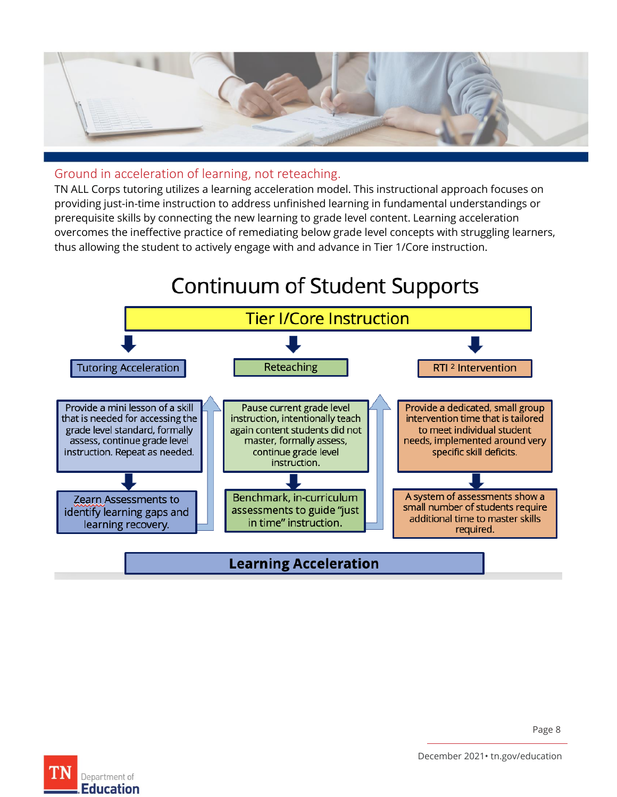

#### <span id="page-7-0"></span>Ground in acceleration of learning, not reteaching.

TN ALL Corps tutoring utilizes a learning acceleration model. This instructional approach focuses on providing just-in-time instruction to address unfinished learning in fundamental understandings or prerequisite skills by connecting the new learning to grade level content. Learning acceleration overcomes the ineffective practice of remediating below grade level concepts with struggling learners, thus allowing the student to actively engage with and advance in Tier 1/Core instruction.





December 2021• tn.gov/education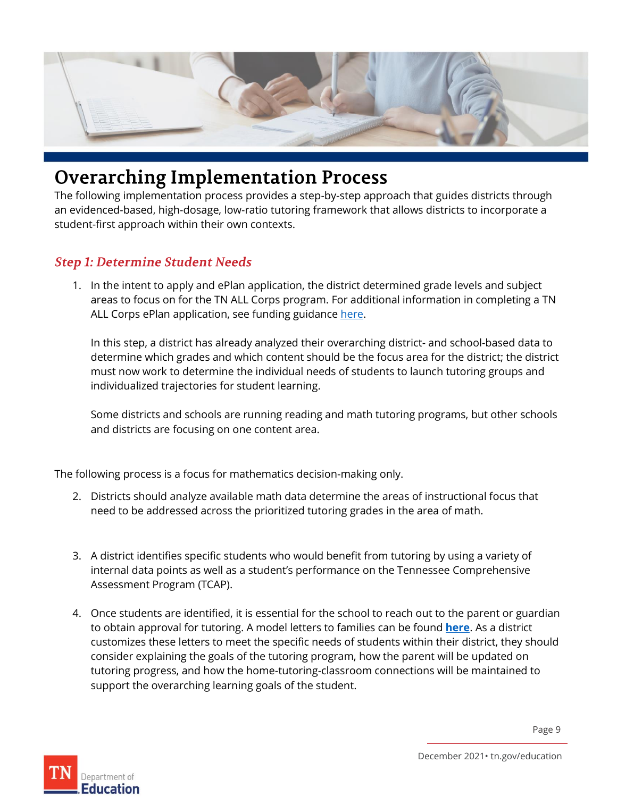

## <span id="page-8-0"></span>**Overarching Implementation Process**

The following implementation process provides a step-by-step approach that guides districts through an evidenced-based, high-dosage, low-ratio tutoring framework that allows districts to incorporate a student-first approach within their own contexts.

#### <span id="page-8-1"></span>**Step 1: Determine Student Needs**

1. In the intent to apply and ePlan application, the district determined grade levels and subject areas to focus on for the TN ALL Corps program. For additional information in completing a TN ALL Corps ePlan application, see funding guidance [here.](https://mcusercontent.com/b28b453ee164f9a2e2b5057e1/files/98b3c131-3401-4d2c-e737-d9609969c2ec/TechnicalApplicationGuideTNALLCorps2021.09.27.01.pdf?mc_cid=3acb59a55a&mc_eid=847cdb9a02)

In this step, a district has already analyzed their overarching district- and school-based data to determine which grades and which content should be the focus area for the district; the district must now work to determine the individual needs of students to launch tutoring groups and individualized trajectories for student learning.

Some districts and schools are running reading and math tutoring programs, but other schools and districts are focusing on one content area.

The following process is a focus for mathematics decision-making only.

- 2. Districts should analyze available math data determine the areas of instructional focus that need to be addressed across the prioritized tutoring grades in the area of math.
- 3. A district identifies specific students who would benefit from tutoring by using a variety of internal data points as well as a student's performance on the Tennessee Comprehensive Assessment Program (TCAP).
- 4. Once students are identified, it is essential for the school to reach out to the parent or guardian to obtain approval for tutoring. A model letters to families can be found **[here](https://www.tn.gov/content/dam/tn/education/tn-all-corps/TN%20ALL%20Corps%20Family%20Participation%20Letter.pdf)**. As a district customizes these letters to meet the specific needs of students within their district, they should consider explaining the goals of the tutoring program, how the parent will be updated on tutoring progress, and how the home-tutoring-classroom connections will be maintained to support the overarching learning goals of the student.

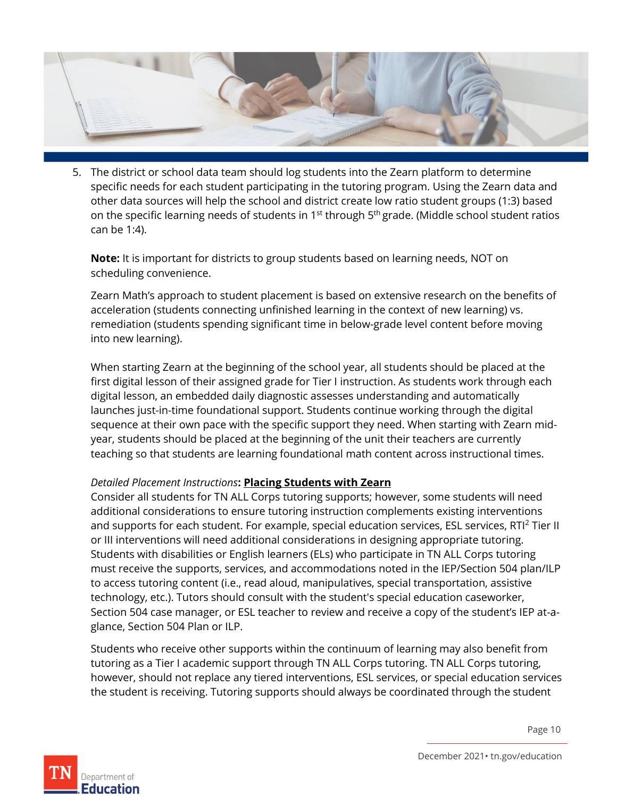

5. The district or school data team should log students into the Zearn platform to determine specific needs for each student participating in the tutoring program. Using the Zearn data and other data sources will help the school and district create low ratio student groups (1:3) based on the specific learning needs of students in 1<sup>st</sup> through 5<sup>th</sup> grade. (Middle school student ratios can be 1:4).

**Note:** It is important for districts to group students based on learning needs, NOT on scheduling convenience.

Zearn Math's approach to student placement is based on extensive research on the benefits of acceleration (students connecting unfinished learning in the context of new learning) vs. remediation (students spending significant time in below-grade level content before moving into new learning).

When starting Zearn at the beginning of the school year, all students should be placed at the first digital lesson of their assigned grade for Tier I instruction. As students work through each digital lesson, an embedded daily diagnostic assesses understanding and automatically launches just-in-time foundational support. Students continue working through the digital sequence at their own pace with the specific support they need. When starting with Zearn midyear, students should be placed at the beginning of the unit their teachers are currently teaching so that students are learning foundational math content across instructional times.

#### *Detailed Placement Instructions***: [Placing Students with Zearn](https://webassets.zearn.org/Implementation/ZearnTutoringPlacementGuidance.pdf)**

Consider all students for TN ALL Corps tutoring supports; however, some students will need additional considerations to ensure tutoring instruction complements existing interventions and supports for each student. For example, special education services, ESL services, RTI<sup>2</sup> Tier II or III interventions will need additional considerations in designing appropriate tutoring. Students with disabilities or English learners (ELs) who participate in TN ALL Corps tutoring must receive the supports, services, and accommodations noted in the IEP/Section 504 plan/ILP to access tutoring content (i.e., read aloud, manipulatives, special transportation, assistive technology, etc.). Tutors should consult with the student's special education caseworker, Section 504 case manager, or ESL teacher to review and receive a copy of the student's IEP at-aglance, Section 504 Plan or ILP.

Students who receive other supports within the continuum of learning may also benefit from tutoring as a Tier I academic support through TN ALL Corps tutoring. TN ALL Corps tutoring, however, should not replace any tiered interventions, ESL services, or special education services the student is receiving. Tutoring supports should always be coordinated through the student

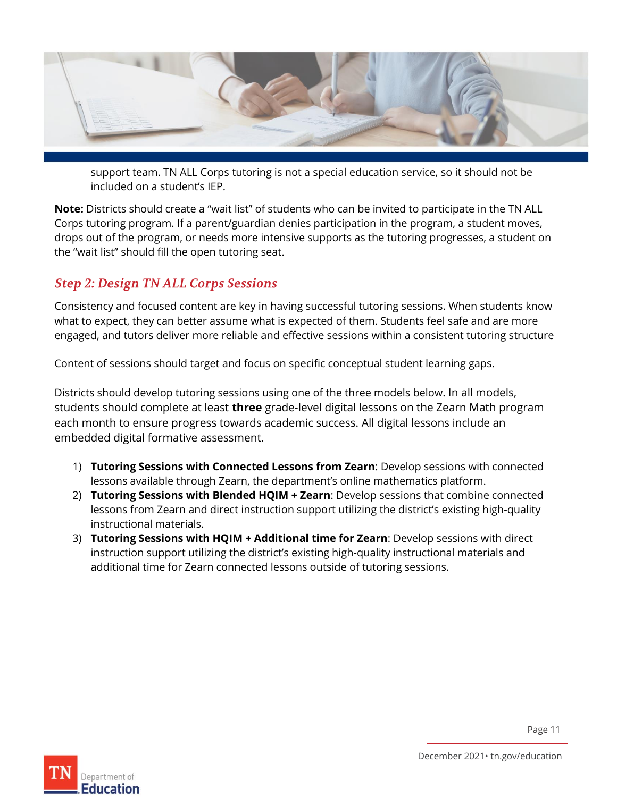

support team. TN ALL Corps tutoring is not a special education service, so it should not be included on a student's IEP.

**Note:** Districts should create a "wait list" of students who can be invited to participate in the TN ALL Corps tutoring program. If a parent/guardian denies participation in the program, a student moves, drops out of the program, or needs more intensive supports as the tutoring progresses, a student on the "wait list" should fill the open tutoring seat.

#### <span id="page-10-0"></span>**Step 2: Design TN ALL Corps Sessions**

Consistency and focused content are key in having successful tutoring sessions. When students know what to expect, they can better assume what is expected of them. Students feel safe and are more engaged, and tutors deliver more reliable and effective sessions within a consistent tutoring structure

Content of sessions should target and focus on specific conceptual student learning gaps.

Districts should develop tutoring sessions using one of the three models below. In all models, students should complete at least **three** grade-level digital lessons on the Zearn Math program each month to ensure progress towards academic success. All digital lessons include an embedded digital formative assessment.

- 1) **Tutoring Sessions with Connected Lessons from Zearn**: Develop sessions with connected lessons available through Zearn, the department's online mathematics platform.
- 2) **Tutoring Sessions with Blended HQIM + Zearn**: Develop sessions that combine connected lessons from Zearn and direct instruction support utilizing the district's existing high-quality instructional materials.
- 3) **Tutoring Sessions with HQIM + Additional time for Zearn**: Develop sessions with direct instruction support utilizing the district's existing high-quality instructional materials and additional time for Zearn connected lessons outside of tutoring sessions.

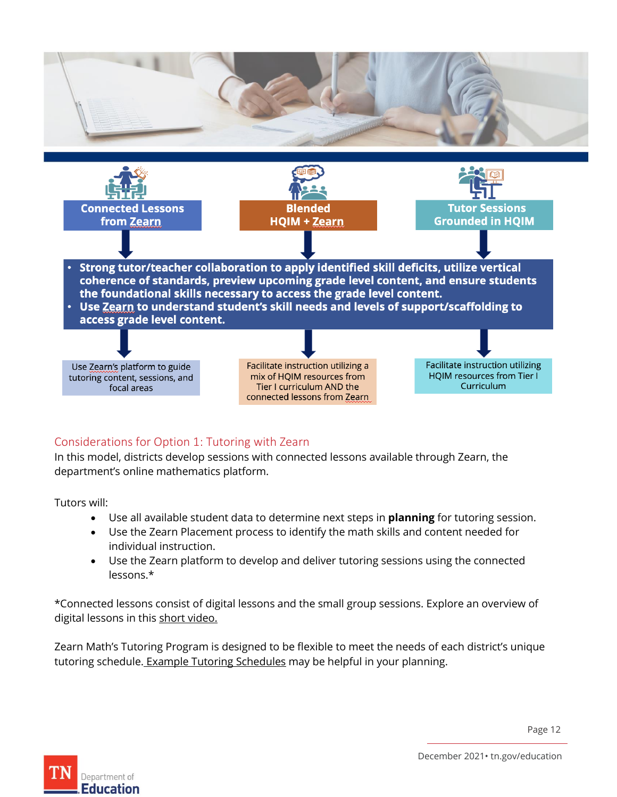

#### <span id="page-11-0"></span>Considerations for Option 1: Tutoring with Zearn

In this model, districts develop sessions with connected lessons available through Zearn, the department's online mathematics platform.

Tutors will:

- Use all available student data to determine next steps in **planning** for tutoring session.
- Use the Zearn Placement process to identify the math skills and content needed for individual instruction.
- Use the Zearn platform to develop and deliver tutoring sessions using the connected lessons.\*

\*Connected lessons consist of digital lessons and the small group sessions. Explore an overview of digital lessons in this [short video.](https://about.zearn.org/webinar-recordings/introduction-to-zearn)

Zearn Math's Tutoring Program is designed to be flexible to meet the needs of each district's unique tutoring schedule. [Example Tutoring Schedules](https://webassets.zearn.org/Implementation/MathTutoringWithZearn_RecommendedSchedules.pdf) may be helpful in your planning.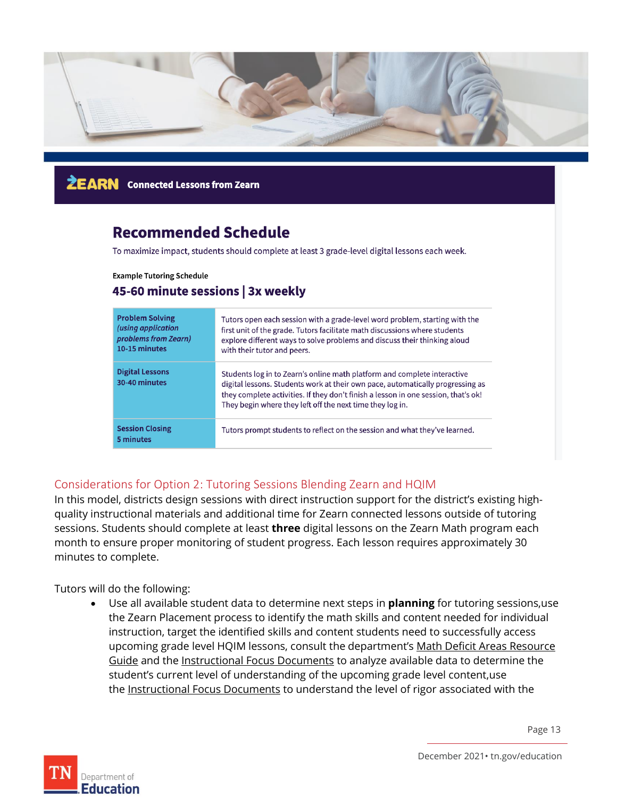

**ŻEARN** Connected Lessons from Zearn

## **Recommended Schedule**

To maximize impact, students should complete at least 3 grade-level digital lessons each week.

**Example Tutoring Schedule** 

#### 45-60 minute sessions | 3x weekly

| <b>Problem Solving</b><br>(using application<br>problems from Zearn)<br>10-15 minutes | Tutors open each session with a grade-level word problem, starting with the<br>first unit of the grade. Tutors facilitate math discussions where students<br>explore different ways to solve problems and discuss their thinking aloud<br>with their tutor and peers.                                         |
|---------------------------------------------------------------------------------------|---------------------------------------------------------------------------------------------------------------------------------------------------------------------------------------------------------------------------------------------------------------------------------------------------------------|
| <b>Digital Lessons</b><br>30-40 minutes                                               | Students log in to Zearn's online math platform and complete interactive<br>digital lessons. Students work at their own pace, automatically progressing as<br>they complete activities. If they don't finish a lesson in one session, that's ok!<br>They begin where they left off the next time they log in. |
| <b>Session Closing</b><br>5 minutes                                                   | Tutors prompt students to reflect on the session and what they've learned.                                                                                                                                                                                                                                    |

#### <span id="page-12-0"></span>Considerations for Option 2: Tutoring Sessions Blending Zearn and HQIM

In this model, districts design sessions with direct instruction support for the district's existing highquality instructional materials and additional time for Zearn connected lessons outside of tutoring sessions. Students should complete at least **three** digital lessons on the Zearn Math program each month to ensure proper monitoring of student progress. Each lesson requires approximately 30 minutes to complete.

Tutors will do the following:

• Use all available student data to determine next steps in **planning** for tutoring sessions,use the Zearn Placement process to identify the math skills and content needed for individual instruction, target the identified skills and content students need to successfully access upcoming grade level HQIM lessons, consult the department's Math Deficit Areas Resource [Guide](https://www.tn.gov/content/dam/tn/education/special-education/ResourceGuide_MathIEPDeficitAreas.pdf) and the [Instructional Focus Documents](https://www.tn.gov/education/instruction/academic-standards/mathematics-standards.html) to analyze available data to determine the student's current level of understanding of the upcoming grade level content,use the [Instructional Focus Documents](https://www.tn.gov/education/instruction/academic-standards/mathematics-standards.html) to understand the level of rigor associated with the

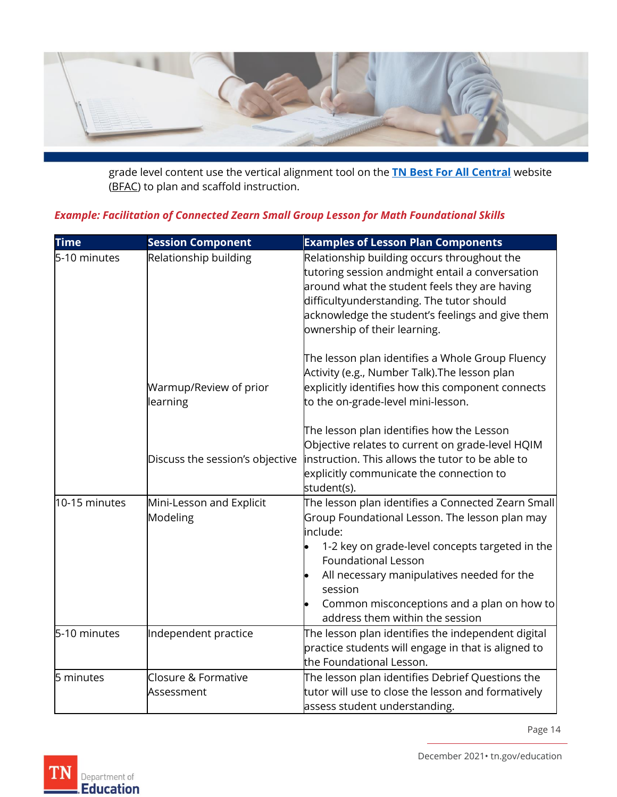

grade level content use the vertical alignment tool on the **[TN Best For All Central](https://bestforall.tnedu.gov/)** website [\(BFAC\)](https://bestforall.tnedu.gov/) to plan and scaffold instruction.

#### *Example: Facilitation of Connected Zearn Small Group Lesson for Math Foundational Skills*

| <b>Time</b>   | <b>Session Component</b>             | <b>Examples of Lesson Plan Components</b>                                                                                                                                                                                                                                                                                                   |
|---------------|--------------------------------------|---------------------------------------------------------------------------------------------------------------------------------------------------------------------------------------------------------------------------------------------------------------------------------------------------------------------------------------------|
| 5-10 minutes  | Relationship building                | Relationship building occurs throughout the<br>tutoring session andmight entail a conversation<br>around what the student feels they are having<br>difficultyunderstanding. The tutor should<br>acknowledge the student's feelings and give them<br>ownership of their learning.                                                            |
|               | Warmup/Review of prior<br>learning   | The lesson plan identifies a Whole Group Fluency<br>Activity (e.g., Number Talk). The lesson plan<br>explicitly identifies how this component connects<br>to the on-grade-level mini-lesson.                                                                                                                                                |
|               | Discuss the session's objective      | The lesson plan identifies how the Lesson<br>Objective relates to current on grade-level HQIM<br>instruction. This allows the tutor to be able to<br>explicitly communicate the connection to<br>student(s).                                                                                                                                |
| 10-15 minutes | Mini-Lesson and Explicit<br>Modeling | The lesson plan identifies a Connected Zearn Small<br>Group Foundational Lesson. The lesson plan may<br>include:<br>1-2 key on grade-level concepts targeted in the<br><b>Foundational Lesson</b><br>All necessary manipulatives needed for the<br>session<br>Common misconceptions and a plan on how to<br>address them within the session |
| 5-10 minutes  | Independent practice                 | The lesson plan identifies the independent digital $\overline{ }$<br>practice students will engage in that is aligned to<br>the Foundational Lesson.                                                                                                                                                                                        |
| 5 minutes     | Closure & Formative<br>Assessment    | The lesson plan identifies Debrief Questions the $\overline{ }$<br>tutor will use to close the lesson and formatively<br>assess student understanding.                                                                                                                                                                                      |

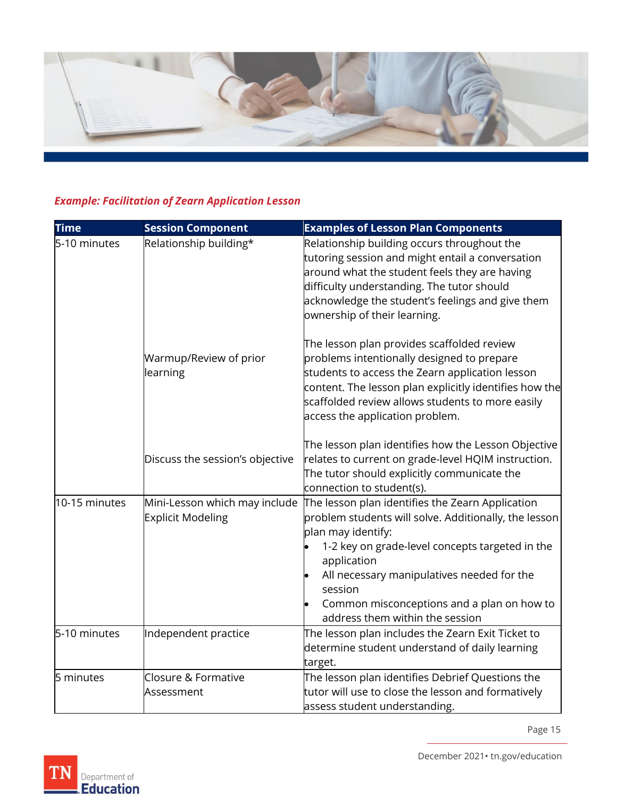

## *Example: Facilitation of Zearn Application Lesson*

| <b>Time</b>   | <b>Session Component</b>                                  | <b>Examples of Lesson Plan Components</b>                                                                                                                                                                                                                                                                                                   |
|---------------|-----------------------------------------------------------|---------------------------------------------------------------------------------------------------------------------------------------------------------------------------------------------------------------------------------------------------------------------------------------------------------------------------------------------|
| 5-10 minutes  | Relationship building*                                    | Relationship building occurs throughout the<br>tutoring session and might entail a conversation<br>around what the student feels they are having<br>difficulty understanding. The tutor should<br>acknowledge the student's feelings and give them<br>ownership of their learning.                                                          |
|               | Warmup/Review of prior<br>learning                        | The lesson plan provides scaffolded review<br>problems intentionally designed to prepare<br>students to access the Zearn application lesson<br>content. The lesson plan explicitly identifies how the<br>scaffolded review allows students to more easily<br>access the application problem.                                                |
|               | Discuss the session's objective                           | The lesson plan identifies how the Lesson Objective<br>relates to current on grade-level HQIM instruction.<br>The tutor should explicitly communicate the<br>connection to student(s).                                                                                                                                                      |
| 10-15 minutes | Mini-Lesson which may include<br><b>Explicit Modeling</b> | The lesson plan identifies the Zearn Application<br>problem students will solve. Additionally, the lesson<br>plan may identify:<br>1-2 key on grade-level concepts targeted in the<br>application<br>All necessary manipulatives needed for the<br>session<br>Common misconceptions and a plan on how to<br>address them within the session |
| 5-10 minutes  | Independent practice                                      | The lesson plan includes the Zearn Exit Ticket to<br>determine student understand of daily learning<br>target.                                                                                                                                                                                                                              |
| 5 minutes     | Closure & Formative<br>Assessment                         | The lesson plan identifies Debrief Questions the<br>tutor will use to close the lesson and formatively<br>assess student understanding.                                                                                                                                                                                                     |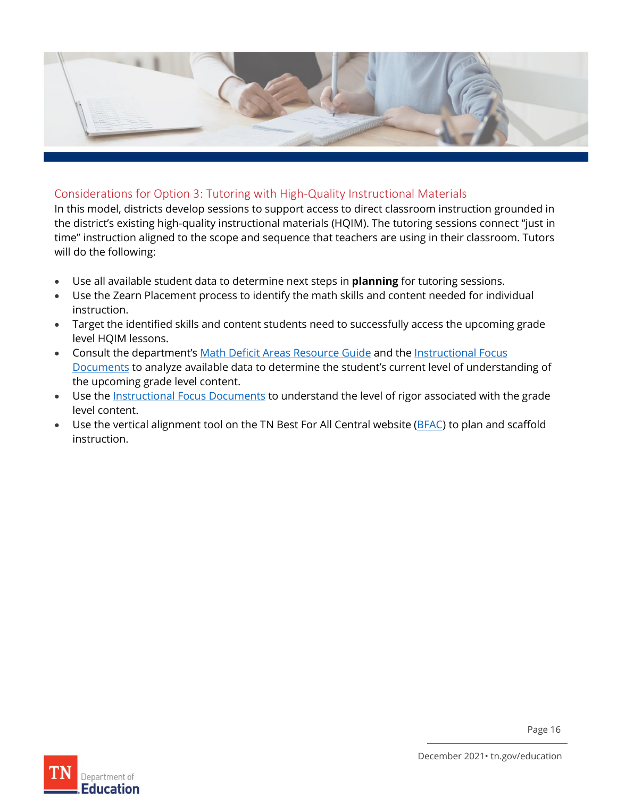

#### <span id="page-15-0"></span>Considerations for Option 3: Tutoring with High-Quality Instructional Materials

In this model, districts develop sessions to support access to direct classroom instruction grounded in the district's existing high-quality instructional materials (HQIM). The tutoring sessions connect "just in time" instruction aligned to the scope and sequence that teachers are using in their classroom. Tutors will do the following:

- Use all available student data to determine next steps in **planning** for tutoring sessions.
- Use the Zearn Placement process to identify the math skills and content needed for individual instruction.
- Target the identified skills and content students need to successfully access the upcoming grade level HQIM lessons.
- Consult the department's [Math Deficit Areas Resource Guide](https://www.tn.gov/content/dam/tn/education/special-education/ResourceGuide_MathIEPDeficitAreas.pdf) and the Instructional Focus [Documents](https://www.tn.gov/education/instruction/academic-standards/mathematics-standards.html) to analyze available data to determine the student's current level of understanding of the upcoming grade level content.
- Use the [Instructional Focus Documents](https://www.tn.gov/education/instruction/academic-standards/mathematics-standards.html) to understand the level of rigor associated with the grade level content.
- Use the vertical alignment tool on the TN Best For All Central website [\(BFAC\)](https://bestforall.tnedu.gov/) to plan and scaffold instruction.

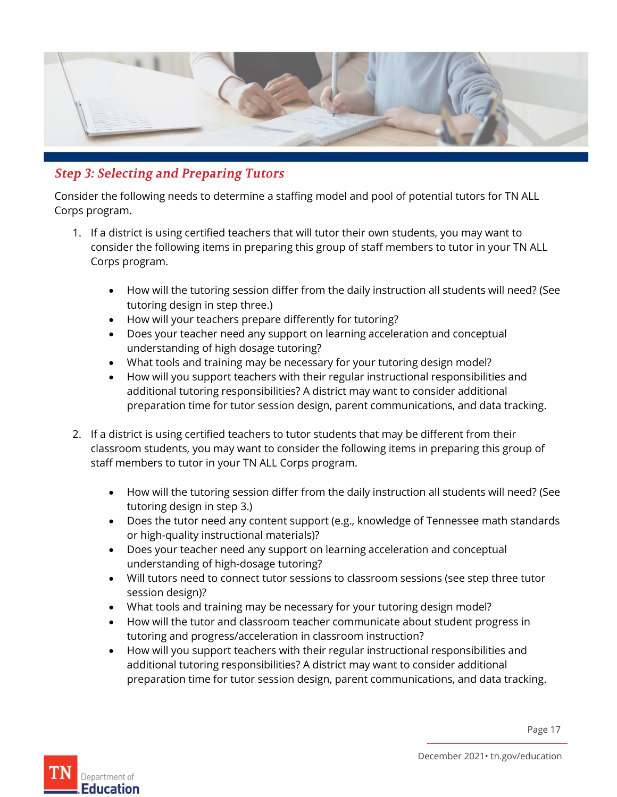

## <span id="page-16-0"></span>**Step 3: Selecting and Preparing Tutors**

Consider the following needs to determine a staffing model and pool of potential tutors for TN ALL Corps program.

- 1. If a district is using certified teachers that will tutor their own students, you may want to consider the following items in preparing this group of staff members to tutor in your TN ALL Corps program.
	- How will the tutoring session differ from the daily instruction all students will need? (See tutoring design in step three.)
	- How will your teachers prepare differently for tutoring?
	- Does your teacher need any support on learning acceleration and conceptual understanding of high dosage tutoring?
	- What tools and training may be necessary for your tutoring design model?
	- How will you support teachers with their regular instructional responsibilities and additional tutoring responsibilities? A district may want to consider additional preparation time for tutor session design, parent communications, and data tracking.
- 2. If a district is using certified teachers to tutor students that may be different from their classroom students, you may want to consider the following items in preparing this group of staff members to tutor in your TN ALL Corps program.
	- How will the tutoring session differ from the daily instruction all students will need? (See tutoring design in step 3.)
	- Does the tutor need any content support (e.g., knowledge of Tennessee math standards or high-quality instructional materials)?
	- Does your teacher need any support on learning acceleration and conceptual understanding of high-dosage tutoring?
	- Will tutors need to connect tutor sessions to classroom sessions (see step three tutor session design)?
	- What tools and training may be necessary for your tutoring design model?
	- How will the tutor and classroom teacher communicate about student progress in tutoring and progress/acceleration in classroom instruction?
	- How will you support teachers with their regular instructional responsibilities and additional tutoring responsibilities? A district may want to consider additional preparation time for tutor session design, parent communications, and data tracking.

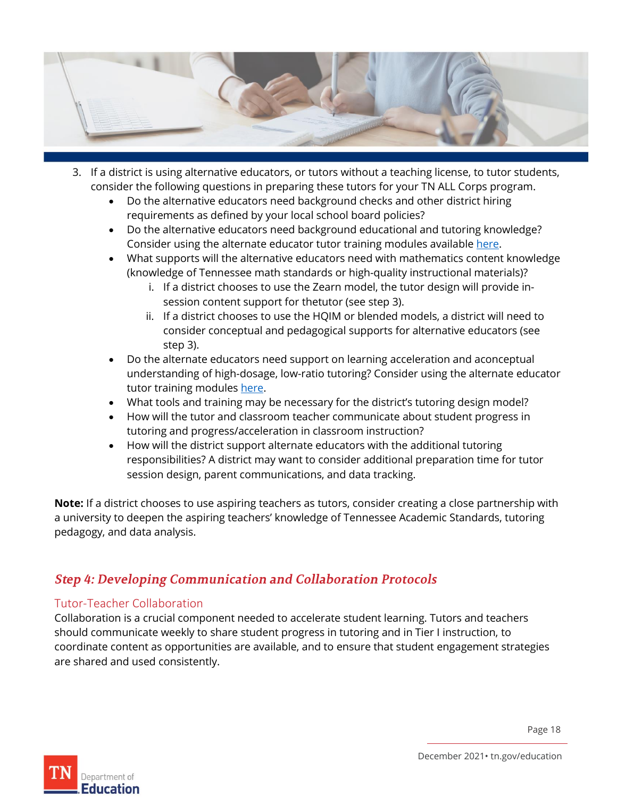

- 3. If a district is using alternative educators, or tutors without a teaching license, to tutor students, consider the following questions in preparing these tutors for your TN ALL Corps program.
	- Do the alternative educators need background checks and other district hiring requirements as defined by your local school board policies?
	- Do the alternative educators need background educational and tutoring knowledge? Consider using the alternate educator tutor training modules availabl[e here.](https://openedx.tneducation.net/courses/course-v1:TDOE+TACT001+2021-2022/about?mc_cid=ba05a24371&mc_eid=14e8f3f91d)
	- What supports will the alternative educators need with mathematics content knowledge (knowledge of Tennessee math standards or high-quality instructional materials)?
		- i. If a district chooses to use the Zearn model, the tutor design will provide insession content support for thetutor (see step 3).
		- ii. If a district chooses to use the HQIM or blended models, a district will need to consider conceptual and pedagogical supports for alternative educators (see step 3).
	- Do the alternate educators need support on learning acceleration and aconceptual understanding of high-dosage, low-ratio tutoring? Consider using the alternate educator tutor training modules [here.](https://openedx.tneducation.net/courses/course-v1:TDOE+TACT001+2021-2022/about?mc_cid=ba05a24371&mc_eid=14e8f3f91d)
	- What tools and training may be necessary for the district's tutoring design model?
	- How will the tutor and classroom teacher communicate about student progress in tutoring and progress/acceleration in classroom instruction?
	- How will the district support alternate educators with the additional tutoring responsibilities? A district may want to consider additional preparation time for tutor session design, parent communications, and data tracking.

**Note:** If a district chooses to use aspiring teachers as tutors, consider creating a close partnership with a university to deepen the aspiring teachers' knowledge of Tennessee Academic Standards, tutoring pedagogy, and data analysis.

### <span id="page-17-0"></span>**Step 4: Developing Communication and Collaboration Protocols**

#### <span id="page-17-1"></span>Tutor-Teacher Collaboration

Collaboration is a crucial component needed to accelerate student learning. Tutors and teachers should communicate weekly to share student progress in tutoring and in Tier I instruction, to coordinate content as opportunities are available, and to ensure that student engagement strategies are shared and used consistently.

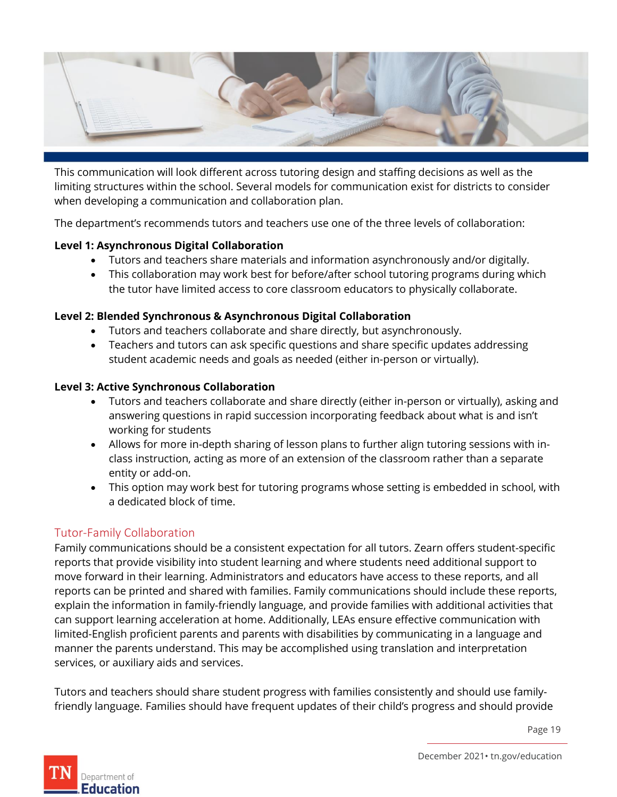

This communication will look different across tutoring design and staffing decisions as well as the limiting structures within the school. Several models for communication exist for districts to consider when developing a communication and collaboration plan.

The department's recommends tutors and teachers use one of the three levels of collaboration:

#### **Level 1: Asynchronous Digital Collaboration**

- Tutors and teachers share materials and information asynchronously and/or digitally.
- This collaboration may work best for before/after school tutoring programs during which the tutor have limited access to core classroom educators to physically collaborate.

#### **Level 2: Blended Synchronous & Asynchronous Digital Collaboration**

- Tutors and teachers collaborate and share directly, but asynchronously.
- Teachers and tutors can ask specific questions and share specific updates addressing student academic needs and goals as needed (either in-person or virtually).

#### **Level 3: Active Synchronous Collaboration**

- Tutors and teachers collaborate and share directly (either in-person or virtually), asking and answering questions in rapid succession incorporating feedback about what is and isn't working for students
- Allows for more in-depth sharing of lesson plans to further align tutoring sessions with inclass instruction, acting as more of an extension of the classroom rather than a separate entity or add-on.
- This option may work best for tutoring programs whose setting is embedded in school, with a dedicated block of time.

#### <span id="page-18-0"></span>Tutor-Family Collaboration

Family communications should be a consistent expectation for all tutors. Zearn offers student-specific reports that provide visibility into student learning and where students need additional support to move forward in their learning. Administrators and educators have access to these reports, and all reports can be printed and shared with families. Family communications should include these reports, explain the information in family-friendly language, and provide families with additional activities that can support learning acceleration at home. Additionally, LEAs ensure effective communication with limited-English proficient parents and parents with disabilities by communicating in a language and manner the parents understand. This may be accomplished using translation and interpretation services, or auxiliary aids and services.

Tutors and teachers should share student progress with families consistently and should use familyfriendly language. Families should have frequent updates of their child's progress and should provide

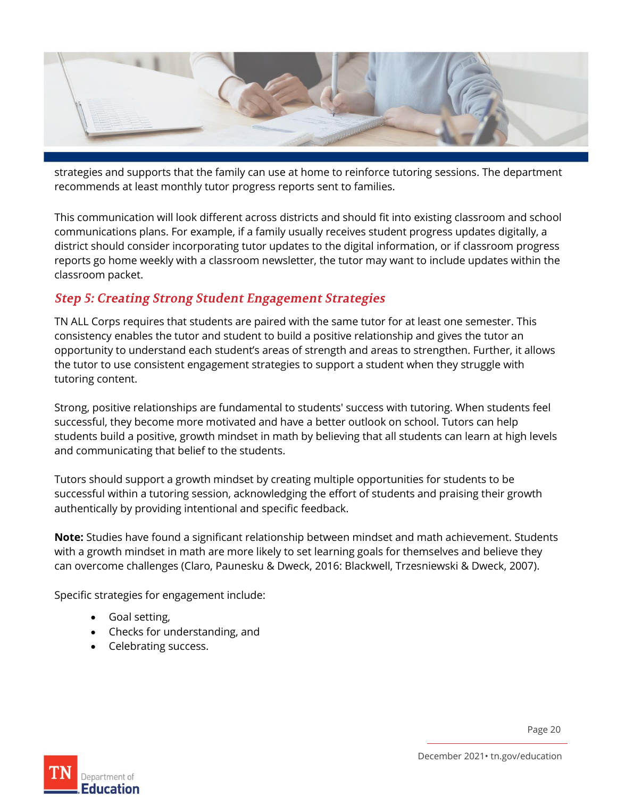

strategies and supports that the family can use at home to reinforce tutoring sessions. The department recommends at least monthly tutor progress reports sent to families.

This communication will look different across districts and should fit into existing classroom and school communications plans. For example, if a family usually receives student progress updates digitally, a district should consider incorporating tutor updates to the digital information, or if classroom progress reports go home weekly with a classroom newsletter, the tutor may want to include updates within the classroom packet.

#### <span id="page-19-0"></span>**Step 5: Creating Strong Student Engagement Strategies**

TN ALL Corps requires that students are paired with the same tutor for at least one semester. This consistency enables the tutor and student to build a positive relationship and gives the tutor an opportunity to understand each student's areas of strength and areas to strengthen. Further, it allows the tutor to use consistent engagement strategies to support a student when they struggle with tutoring content.

Strong, positive relationships are fundamental to students' success with tutoring. When students feel successful, they become more motivated and have a better outlook on school. Tutors can help students build a positive, growth mindset in math by believing that all students can learn at high levels and communicating that belief to the students.

Tutors should support a growth mindset by creating multiple opportunities for students to be successful within a tutoring session, acknowledging the effort of students and praising their growth authentically by providing intentional and specific feedback.

**Note:** Studies have found a significant relationship between mindset and math achievement. Students with a growth mindset in math are more likely to set learning goals for themselves and believe they can overcome challenges (Claro, Paunesku & Dweck, 2016: Blackwell, Trzesniewski & Dweck, 2007).

Specific strategies for engagement include:

- Goal setting,
- Checks for understanding, and
- Celebrating success.

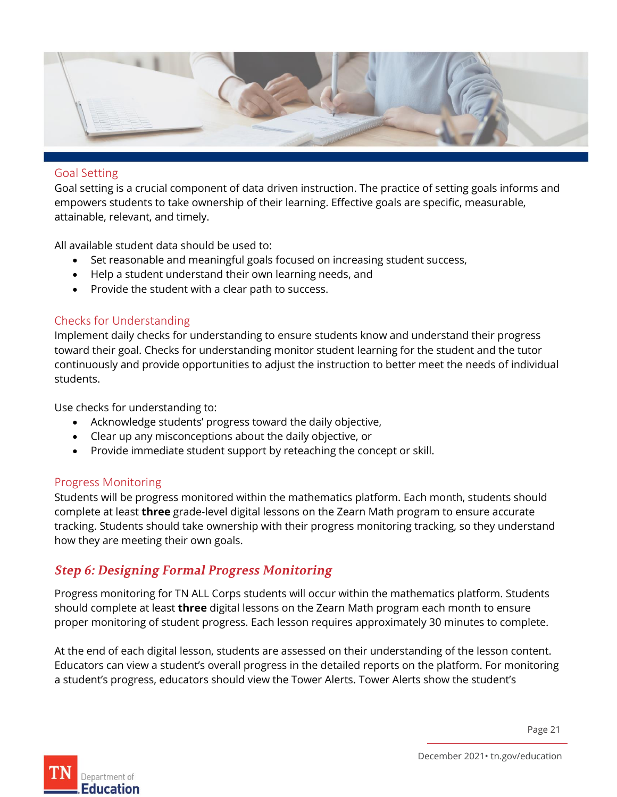

#### <span id="page-20-0"></span>Goal Setting

Goal setting is a crucial component of data driven instruction. The practice of setting goals informs and empowers students to take ownership of their learning. Effective goals are specific, measurable, attainable, relevant, and timely.

All available student data should be used to:

- Set reasonable and meaningful goals focused on increasing student success,
- Help a student understand their own learning needs, and
- Provide the student with a clear path to success.

#### <span id="page-20-1"></span>Checks for Understanding

Implement daily checks for understanding to ensure students know and understand their progress toward their goal. Checks for understanding monitor student learning for the student and the tutor continuously and provide opportunities to adjust the instruction to better meet the needs of individual students.

Use checks for understanding to:

- Acknowledge students' progress toward the daily objective,
- Clear up any misconceptions about the daily objective, or
- Provide immediate student support by reteaching the concept or skill.

#### <span id="page-20-2"></span>Progress Monitoring

Students will be progress monitored within the mathematics platform. Each month, students should complete at least **three** grade-level digital lessons on the Zearn Math program to ensure accurate tracking. Students should take ownership with their progress monitoring tracking, so they understand how they are meeting their own goals.

#### <span id="page-20-3"></span>**Step 6: Designing Formal Progress Monitoring**

Progress monitoring for TN ALL Corps students will occur within the mathematics platform. Students should complete at least **three** digital lessons on the Zearn Math program each month to ensure proper monitoring of student progress. Each lesson requires approximately 30 minutes to complete.

At the end of each digital lesson, students are assessed on their understanding of the lesson content. Educators can view a student's overall progress in the detailed reports on the platform. For monitoring a student's progress, educators should view the Tower Alerts. Tower Alerts show the student's



December 2021• tn.gov/education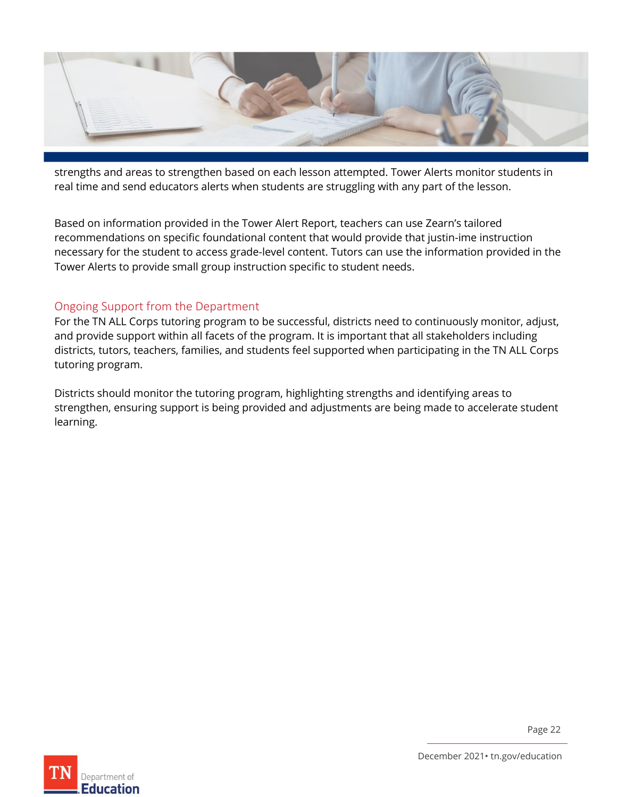

strengths and areas to strengthen based on each lesson attempted. Tower Alerts monitor students in real time and send educators alerts when students are struggling with any part of the lesson.

Based on information provided in the Tower Alert Report, teachers can use Zearn's tailored recommendations on specific foundational content that would provide that justin-ime instruction necessary for the student to access grade-level content. Tutors can use the information provided in the Tower Alerts to provide small group instruction specific to student needs.

#### <span id="page-21-0"></span>Ongoing Support from the Department

For the TN ALL Corps tutoring program to be successful, districts need to continuously monitor, adjust, and provide support within all facets of the program. It is important that all stakeholders including districts, tutors, teachers, families, and students feel supported when participating in the TN ALL Corps tutoring program.

Districts should monitor the tutoring program, highlighting strengths and identifying areas to strengthen, ensuring support is being provided and adjustments are being made to accelerate student learning.